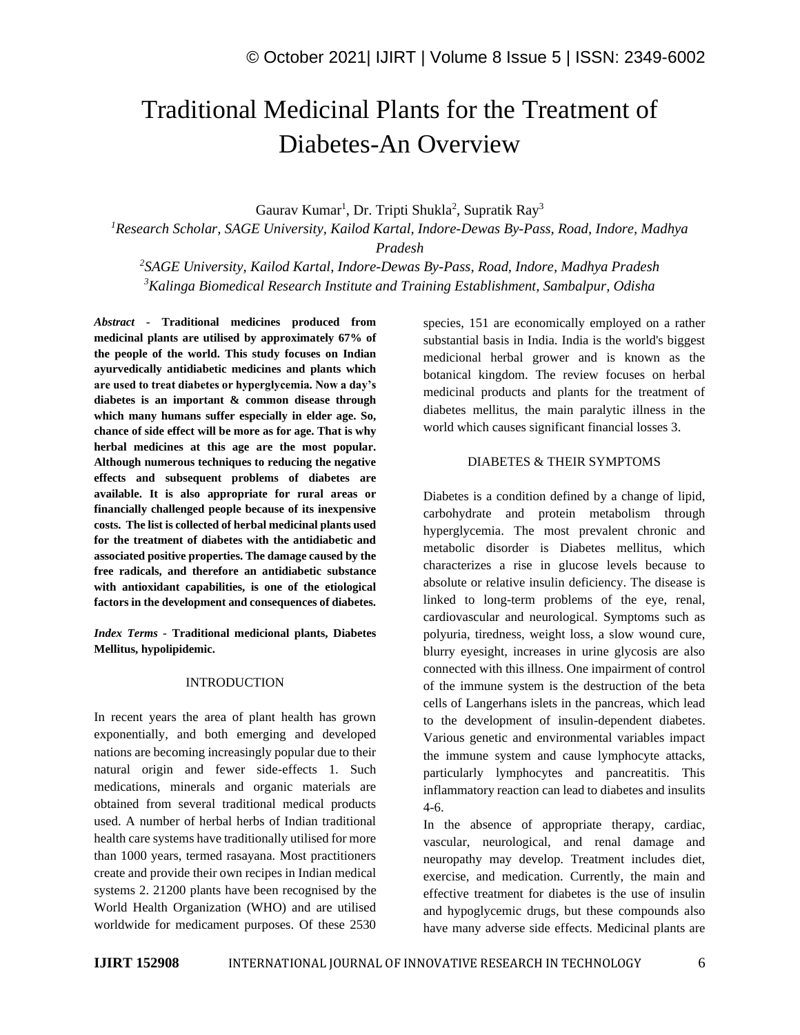# Traditional Medicinal Plants for the Treatment of Diabetes-An Overview

Gaurav Kumar<sup>1</sup>, Dr. Tripti Shukla<sup>2</sup>, Supratik Ray<sup>3</sup>

*<sup>1</sup>Research Scholar, SAGE University, Kailod Kartal, Indore-Dewas By-Pass, Road, Indore, Madhya Pradesh*

*2 SAGE University, Kailod Kartal, Indore-Dewas By-Pass, Road, Indore, Madhya Pradesh <sup>3</sup>Kalinga Biomedical Research Institute and Training Establishment, Sambalpur, Odisha*

*Abstract -* **Traditional medicines produced from medicinal plants are utilised by approximately 67% of the people of the world. This study focuses on Indian ayurvedically antidiabetic medicines and plants which are used to treat diabetes or hyperglycemia. Now a day's diabetes is an important & common disease through which many humans suffer especially in elder age. So, chance of side effect will be more as for age. That is why herbal medicines at this age are the most popular. Although numerous techniques to reducing the negative effects and subsequent problems of diabetes are available. It is also appropriate for rural areas or financially challenged people because of its inexpensive costs. The list is collected of herbal medicinal plants used for the treatment of diabetes with the antidiabetic and associated positive properties. The damage caused by the free radicals, and therefore an antidiabetic substance with antioxidant capabilities, is one of the etiological factors in the development and consequences of diabetes.**

*Index Terms -* **Traditional medicional plants, Diabetes Mellitus, hypolipidemic.**

#### INTRODUCTION

In recent years the area of plant health has grown exponentially, and both emerging and developed nations are becoming increasingly popular due to their natural origin and fewer side-effects 1. Such medications, minerals and organic materials are obtained from several traditional medical products used. A number of herbal herbs of Indian traditional health care systems have traditionally utilised for more than 1000 years, termed rasayana. Most practitioners create and provide their own recipes in Indian medical systems 2. 21200 plants have been recognised by the World Health Organization (WHO) and are utilised worldwide for medicament purposes. Of these 2530 species, 151 are economically employed on a rather substantial basis in India. India is the world's biggest medicional herbal grower and is known as the botanical kingdom. The review focuses on herbal medicinal products and plants for the treatment of diabetes mellitus, the main paralytic illness in the world which causes significant financial losses 3.

#### DIABETES & THEIR SYMPTOMS

Diabetes is a condition defined by a change of lipid, carbohydrate and protein metabolism through hyperglycemia. The most prevalent chronic and metabolic disorder is Diabetes mellitus, which characterizes a rise in glucose levels because to absolute or relative insulin deficiency. The disease is linked to long-term problems of the eye, renal, cardiovascular and neurological. Symptoms such as polyuria, tiredness, weight loss, a slow wound cure, blurry eyesight, increases in urine glycosis are also connected with this illness. One impairment of control of the immune system is the destruction of the beta cells of Langerhans islets in the pancreas, which lead to the development of insulin-dependent diabetes. Various genetic and environmental variables impact the immune system and cause lymphocyte attacks, particularly lymphocytes and pancreatitis. This inflammatory reaction can lead to diabetes and insulits 4-6.

In the absence of appropriate therapy, cardiac, vascular, neurological, and renal damage and neuropathy may develop. Treatment includes diet, exercise, and medication. Currently, the main and effective treatment for diabetes is the use of insulin and hypoglycemic drugs, but these compounds also have many adverse side effects. Medicinal plants are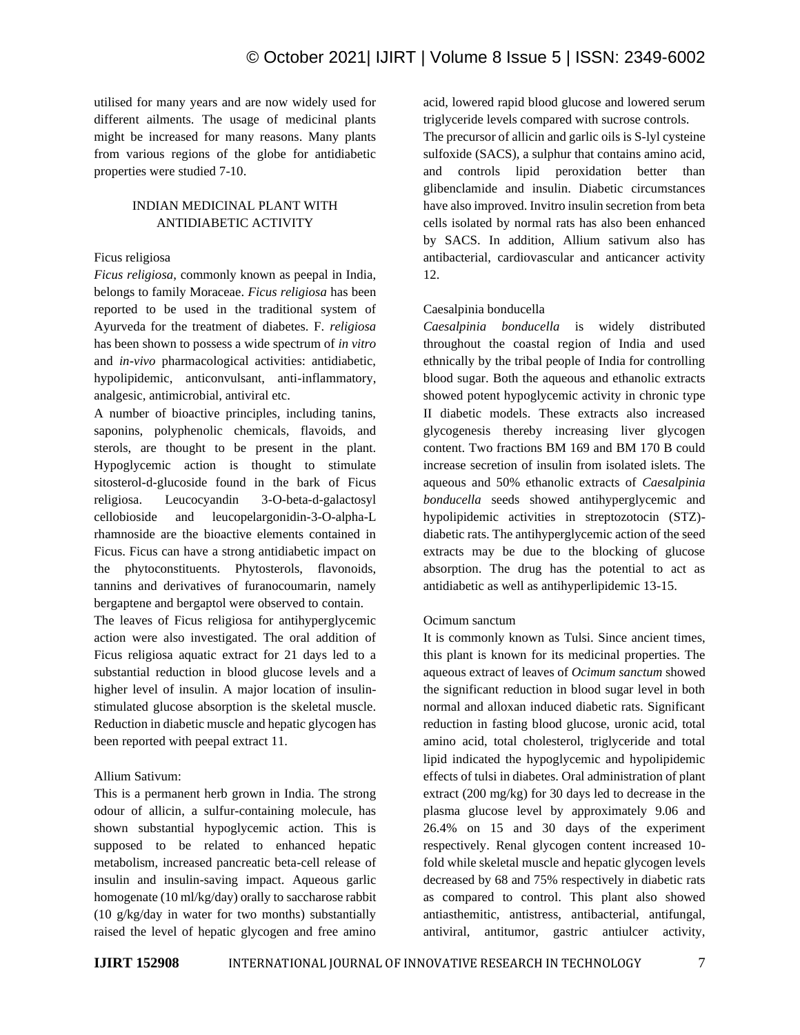utilised for many years and are now widely used for different ailments. The usage of medicinal plants might be increased for many reasons. Many plants from various regions of the globe for antidiabetic properties were studied 7-10.

# INDIAN MEDICINAL PLANT WITH ANTIDIABETIC ACTIVITY

## Ficus religiosa

*Ficus religiosa*, commonly known as peepal in India, belongs to family Moraceae. *Ficus religiosa* has been reported to be used in the traditional system of Ayurveda for the treatment of diabetes. F. *religiosa* has been shown to possess a wide spectrum of *in vitro* and *in-vivo* pharmacological activities: antidiabetic, hypolipidemic, anticonvulsant, anti-inflammatory, analgesic, antimicrobial, antiviral etc.

A number of bioactive principles, including tanins, saponins, polyphenolic chemicals, flavoids, and sterols, are thought to be present in the plant. Hypoglycemic action is thought to stimulate sitosterol-d-glucoside found in the bark of Ficus religiosa. Leucocyandin 3-O-beta-d-galactosyl cellobioside and leucopelargonidin-3-O-alpha-L rhamnoside are the bioactive elements contained in Ficus. Ficus can have a strong antidiabetic impact on the phytoconstituents. Phytosterols, flavonoids, tannins and derivatives of furanocoumarin, namely bergaptene and bergaptol were observed to contain.

The leaves of Ficus religiosa for antihyperglycemic action were also investigated. The oral addition of Ficus religiosa aquatic extract for 21 days led to a substantial reduction in blood glucose levels and a higher level of insulin. A major location of insulinstimulated glucose absorption is the skeletal muscle. Reduction in diabetic muscle and hepatic glycogen has been reported with peepal extract 11.

#### Allium Sativum:

This is a permanent herb grown in India. The strong odour of allicin, a sulfur-containing molecule, has shown substantial hypoglycemic action. This is supposed to be related to enhanced hepatic metabolism, increased pancreatic beta-cell release of insulin and insulin-saving impact. Aqueous garlic homogenate (10 ml/kg/day) orally to saccharose rabbit (10 g/kg/day in water for two months) substantially raised the level of hepatic glycogen and free amino acid, lowered rapid blood glucose and lowered serum triglyceride levels compared with sucrose controls.

The precursor of allicin and garlic oils is S-lyl cysteine sulfoxide (SACS), a sulphur that contains amino acid, and controls lipid peroxidation better than glibenclamide and insulin. Diabetic circumstances have also improved. Invitro insulin secretion from beta cells isolated by normal rats has also been enhanced by SACS. In addition, Allium sativum also has antibacterial, cardiovascular and anticancer activity 12.

## Caesalpinia bonducella

*Caesalpinia bonducella* is widely distributed throughout the coastal region of India and used ethnically by the tribal people of India for controlling blood sugar. Both the aqueous and ethanolic extracts showed potent hypoglycemic activity in chronic type II diabetic models. These extracts also increased glycogenesis thereby increasing liver glycogen content. Two fractions BM 169 and BM 170 B could increase secretion of insulin from isolated islets. The aqueous and 50% ethanolic extracts of *Caesalpinia bonducella* seeds showed antihyperglycemic and hypolipidemic activities in streptozotocin (STZ) diabetic rats. The antihyperglycemic action of the seed extracts may be due to the blocking of glucose absorption. The drug has the potential to act as antidiabetic as well as antihyperlipidemic 13-15.

## Ocimum sanctum

It is commonly known as Tulsi. Since ancient times, this plant is known for its medicinal properties. The aqueous extract of leaves of *Ocimum sanctum* showed the significant reduction in blood sugar level in both normal and alloxan induced diabetic rats. Significant reduction in fasting blood glucose, uronic acid, total amino acid, total cholesterol, triglyceride and total lipid indicated the hypoglycemic and hypolipidemic effects of tulsi in diabetes. Oral administration of plant extract (200 mg/kg) for 30 days led to decrease in the plasma glucose level by approximately 9.06 and 26.4% on 15 and 30 days of the experiment respectively. Renal glycogen content increased 10 fold while skeletal muscle and hepatic glycogen levels decreased by 68 and 75% respectively in diabetic rats as compared to control. This plant also showed antiasthemitic, antistress, antibacterial, antifungal, antiviral, antitumor, gastric antiulcer activity,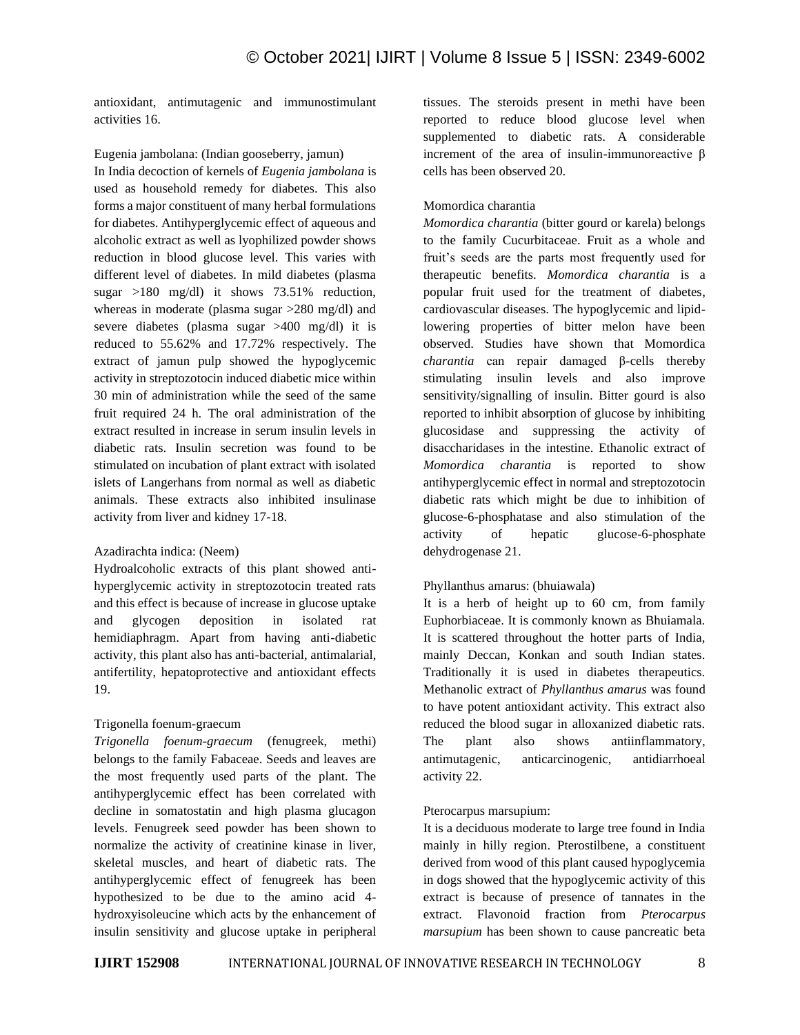antioxidant, antimutagenic and immunostimulant activities 16.

Eugenia jambolana: (Indian gooseberry, jamun) In India decoction of kernels of *Eugenia jambolana* is used as household remedy for diabetes. This also forms a major constituent of many herbal formulations for diabetes. Antihyperglycemic effect of aqueous and alcoholic extract as well as lyophilized powder shows reduction in blood glucose level. This varies with different level of diabetes. In mild diabetes (plasma sugar >180 mg/dl) it shows 73.51% reduction, whereas in moderate (plasma sugar >280 mg/dl) and severe diabetes (plasma sugar >400 mg/dl) it is reduced to 55.62% and 17.72% respectively. The extract of jamun pulp showed the hypoglycemic activity in streptozotocin induced diabetic mice within 30 min of administration while the seed of the same fruit required 24 h. The oral administration of the extract resulted in increase in serum insulin levels in diabetic rats. Insulin secretion was found to be stimulated on incubation of plant extract with isolated islets of Langerhans from normal as well as diabetic animals. These extracts also inhibited insulinase activity from liver and kidney 17-18.

## Azadirachta indica: (Neem)

Hydroalcoholic extracts of this plant showed antihyperglycemic activity in streptozotocin treated rats and this effect is because of increase in glucose uptake and glycogen deposition in isolated rat hemidiaphragm. Apart from having anti-diabetic activity, this plant also has anti-bacterial, antimalarial, antifertility, hepatoprotective and antioxidant effects 19.

## Trigonella foenum-graecum

*Trigonella foenum-graecum* (fenugreek, methi) belongs to the family Fabaceae. Seeds and leaves are the most frequently used parts of the plant. The antihyperglycemic effect has been correlated with decline in somatostatin and high plasma glucagon levels. Fenugreek seed powder has been shown to normalize the activity of creatinine kinase in liver, skeletal muscles, and heart of diabetic rats. The antihyperglycemic effect of fenugreek has been hypothesized to be due to the amino acid 4 hydroxyisoleucine which acts by the enhancement of insulin sensitivity and glucose uptake in peripheral tissues. The steroids present in methi have been reported to reduce blood glucose level when supplemented to diabetic rats. A considerable increment of the area of insulin-immunoreactive β cells has been observed 20.

## Momordica charantia

*Momordica charantia* (bitter gourd or karela) belongs to the family Cucurbitaceae. Fruit as a whole and fruit's seeds are the parts most frequently used for therapeutic benefits. *Momordica charantia* is a popular fruit used for the treatment of diabetes, cardiovascular diseases. The hypoglycemic and lipidlowering properties of bitter melon have been observed. Studies have shown that Momordica *charantia* can repair damaged β-cells thereby stimulating insulin levels and also improve sensitivity/signalling of insulin. Bitter gourd is also reported to inhibit absorption of glucose by inhibiting glucosidase and suppressing the activity of disaccharidases in the intestine. Ethanolic extract of *Momordica charantia* is reported to show antihyperglycemic effect in normal and streptozotocin diabetic rats which might be due to inhibition of glucose-6-phosphatase and also stimulation of the activity of hepatic glucose-6-phosphate dehydrogenase 21.

## Phyllanthus amarus: (bhuiawala)

It is a herb of height up to 60 cm, from family Euphorbiaceae. It is commonly known as Bhuiamala. It is scattered throughout the hotter parts of India, mainly Deccan, Konkan and south Indian states. Traditionally it is used in diabetes therapeutics. Methanolic extract of *Phyllanthus amarus* was found to have potent antioxidant activity. This extract also reduced the blood sugar in alloxanized diabetic rats. The plant also shows antiinflammatory, antimutagenic, anticarcinogenic, antidiarrhoeal activity 22.

#### Pterocarpus marsupium:

It is a deciduous moderate to large tree found in India mainly in hilly region. Pterostilbene, a constituent derived from wood of this plant caused hypoglycemia in dogs showed that the hypoglycemic activity of this extract is because of presence of tannates in the extract. Flavonoid fraction from *Pterocarpus marsupium* has been shown to cause pancreatic beta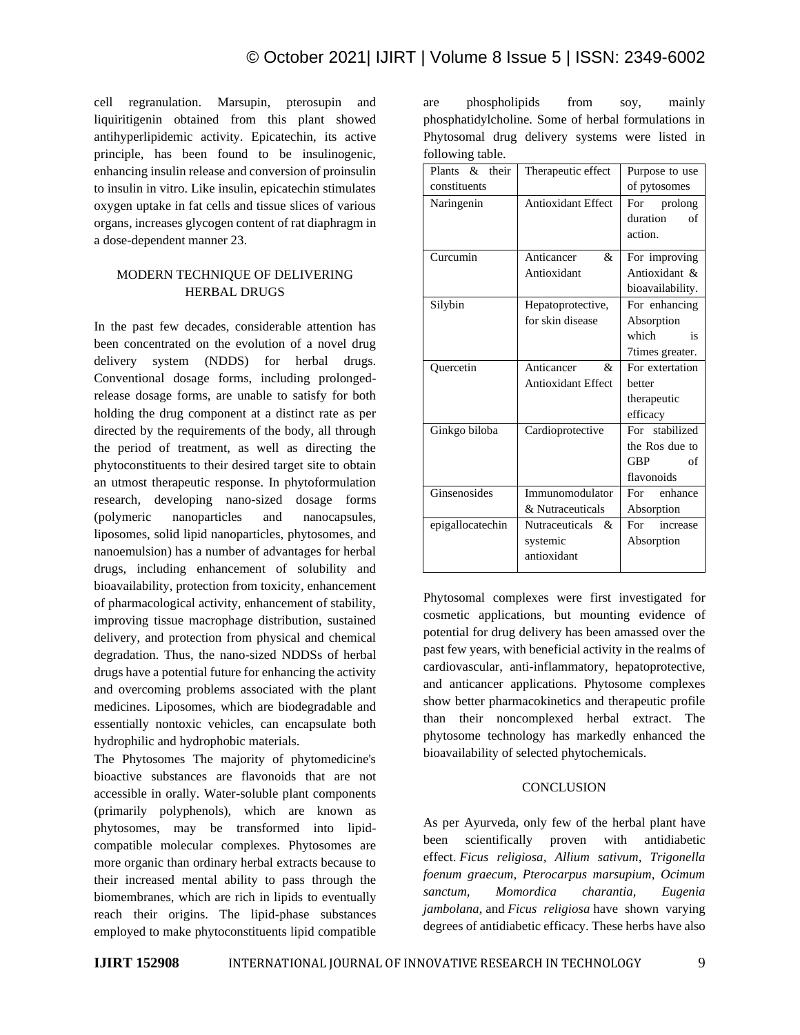cell regranulation. Marsupin, pterosupin and liquiritigenin obtained from this plant showed antihyperlipidemic activity. Epicatechin, its active principle, has been found to be insulinogenic, enhancing insulin release and conversion of proinsulin to insulin in vitro. Like insulin, epicatechin stimulates oxygen uptake in fat cells and tissue slices of various organs, increases glycogen content of rat diaphragm in a dose-dependent manner 23.

## MODERN TECHNIQUE OF DELIVERING HERBAL DRUGS

In the past few decades, considerable attention has been concentrated on the evolution of a novel drug delivery system (NDDS) for herbal drugs. Conventional dosage forms, including prolongedrelease dosage forms, are unable to satisfy for both holding the drug component at a distinct rate as per directed by the requirements of the body, all through the period of treatment, as well as directing the phytoconstituents to their desired target site to obtain an utmost therapeutic response. In phytoformulation research, developing nano-sized dosage forms (polymeric nanoparticles and nanocapsules, liposomes, solid lipid nanoparticles, phytosomes, and nanoemulsion) has a number of advantages for herbal drugs, including enhancement of solubility and bioavailability, protection from toxicity, enhancement of pharmacological activity, enhancement of stability, improving tissue macrophage distribution, sustained delivery, and protection from physical and chemical degradation. Thus, the nano-sized NDDSs of herbal drugs have a potential future for enhancing the activity and overcoming problems associated with the plant medicines. Liposomes, which are biodegradable and essentially nontoxic vehicles, can encapsulate both hydrophilic and hydrophobic materials.

The Phytosomes The majority of phytomedicine's bioactive substances are flavonoids that are not accessible in orally. Water-soluble plant components (primarily polyphenols), which are known as phytosomes, may be transformed into lipidcompatible molecular complexes. Phytosomes are more organic than ordinary herbal extracts because to their increased mental ability to pass through the biomembranes, which are rich in lipids to eventually reach their origins. The lipid-phase substances employed to make phytoconstituents lipid compatible are phospholipids from soy, mainly phosphatidylcholine. Some of herbal formulations in Phytosomal drug delivery systems were listed in following table.

| Plants & their   | Therapeutic effect        | Purpose to use                       |
|------------------|---------------------------|--------------------------------------|
| constituents     |                           | of pytosomes                         |
| Naringenin       | <b>Antioxidant Effect</b> | For prolong                          |
|                  |                           | duration<br>of                       |
|                  |                           | action.                              |
| Curcumin         | Anticancer<br>&           | For improving                        |
|                  | Antioxidant               | Antioxidant &                        |
|                  |                           | bioavailability.                     |
| Silybin          | Hepatoprotective,         | For enhancing                        |
|                  | for skin disease          | Absorption                           |
|                  |                           | which<br>$\overline{\phantom{a}}$ is |
|                  |                           | 7 times greater.                     |
| Quercetin        | Anticancer<br>&           | For extertation                      |
|                  | Antioxidant Effect        | better                               |
|                  |                           | therapeutic                          |
|                  |                           | efficacy                             |
| Ginkgo biloba    | Cardioprotective          | For stabilized                       |
|                  |                           | the Ros due to                       |
|                  |                           | <b>GBP</b><br>of                     |
|                  |                           | flavonoids                           |
| Ginsenosides     | Immunomodulator           | For enhance                          |
|                  | & Nutraceuticals          | Absorption                           |
| epigallocatechin | Nutraceuticals &          | For increase                         |
|                  | systemic                  | Absorption                           |
|                  | antioxidant               |                                      |
|                  |                           |                                      |

Phytosomal complexes were first investigated for cosmetic applications, but mounting evidence of potential for drug delivery has been amassed over the past few years, with beneficial activity in the realms of cardiovascular, anti-inflammatory, hepatoprotective, and anticancer applications. Phytosome complexes show better pharmacokinetics and therapeutic profile than their noncomplexed herbal extract. The phytosome technology has markedly enhanced the bioavailability of selected phytochemicals.

# **CONCLUSION**

As per Ayurveda, only few of the herbal plant have been scientifically proven with antidiabetic effect. *Ficus religiosa, Allium sativum, Trigonella foenum graecum, Pterocarpus marsupium, Ocimum sanctum, Momordica charantia, Eugenia jambolana,* and *Ficus religiosa* have shown varying degrees of antidiabetic efficacy. These herbs have also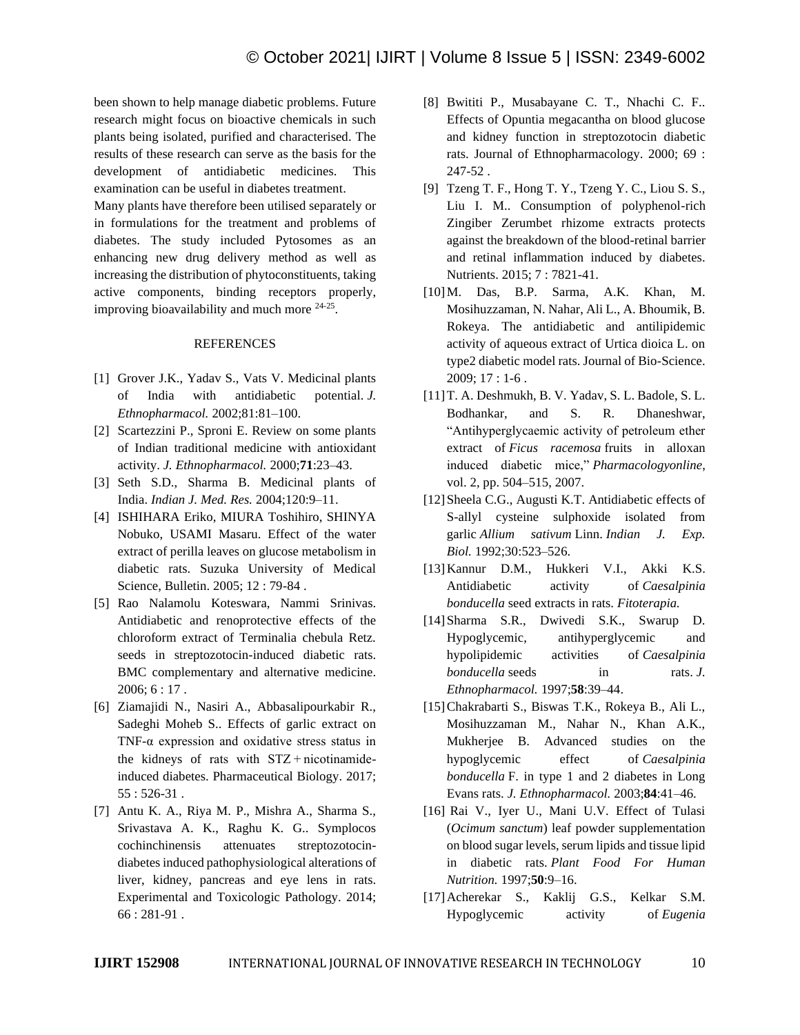been shown to help manage diabetic problems. Future research might focus on bioactive chemicals in such plants being isolated, purified and characterised. The results of these research can serve as the basis for the development of antidiabetic medicines. This examination can be useful in diabetes treatment.

Many plants have therefore been utilised separately or in formulations for the treatment and problems of diabetes. The study included Pytosomes as an enhancing new drug delivery method as well as increasing the distribution of phytoconstituents, taking active components, binding receptors properly, improving bioavailability and much more <sup>24-25</sup>.

#### REFERENCES

- [1] Grover J.K., Yadav S., Vats V. Medicinal plants of India with antidiabetic potential. *J. Ethnopharmacol.* 2002;81:81–100.
- [2] Scartezzini P., Sproni E. Review on some plants of Indian traditional medicine with antioxidant activity. *J. Ethnopharmacol.* 2000;**71**:23–43.
- [3] Seth S.D., Sharma B. Medicinal plants of India. *Indian J. Med. Res.* 2004;120:9–11.
- [4] ISHIHARA Eriko, MIURA Toshihiro, SHINYA Nobuko, USAMI Masaru. Effect of the water extract of perilla leaves on glucose metabolism in diabetic rats. Suzuka University of Medical Science, Bulletin. 2005; 12 : 79-84 .
- [5] Rao Nalamolu Koteswara, Nammi Srinivas. Antidiabetic and renoprotective effects of the chloroform extract of Terminalia chebula Retz. seeds in streptozotocin-induced diabetic rats. BMC complementary and alternative medicine. 2006; 6 : 17 .
- [6] Ziamajidi N., Nasiri A., Abbasalipourkabir R., Sadeghi Moheb S.. Effects of garlic extract on TNF-α expression and oxidative stress status in the kidneys of rats with STZ + nicotinamideinduced diabetes. Pharmaceutical Biology. 2017; 55 : 526-31 .
- [7] Antu K. A., Riya M. P., Mishra A., Sharma S., Srivastava A. K., Raghu K. G.. Symplocos cochinchinensis attenuates streptozotocindiabetes induced pathophysiological alterations of liver, kidney, pancreas and eye lens in rats. Experimental and Toxicologic Pathology. 2014; 66 : 281-91 .
- [8] Bwititi P., Musabayane C. T., Nhachi C. F.. Effects of Opuntia megacantha on blood glucose and kidney function in streptozotocin diabetic rats. Journal of Ethnopharmacology. 2000; 69 : 247-52 .
- [9] Tzeng T. F., Hong T. Y., Tzeng Y. C., Liou S. S., Liu I. M.. Consumption of polyphenol-rich Zingiber Zerumbet rhizome extracts protects against the breakdown of the blood-retinal barrier and retinal inflammation induced by diabetes. Nutrients. 2015; 7 : 7821-41.
- [10]M. Das, B.P. Sarma, A.K. Khan, M. Mosihuzzaman, N. Nahar, Ali L., A. Bhoumik, B. Rokeya. The antidiabetic and antilipidemic activity of aqueous extract of Urtica dioica L. on type2 diabetic model rats. Journal of Bio-Science. 2009; 17 : 1-6 .
- [11]T. A. Deshmukh, B. V. Yadav, S. L. Badole, S. L. Bodhankar, and S. R. Dhaneshwar, "Antihyperglycaemic activity of petroleum ether extract of *Ficus racemosa* fruits in alloxan induced diabetic mice," *Pharmacologyonline*, vol. 2, pp. 504–515, 2007.
- [12] Sheela C.G., Augusti K.T. Antidiabetic effects of S-allyl cysteine sulphoxide isolated from garlic *Allium sativum* Linn. *Indian J. Exp. Biol.* 1992;30:523–526.
- [13]Kannur D.M., Hukkeri V.I., Akki K.S. Antidiabetic activity of *Caesalpinia bonducella* seed extracts in rats. *Fitoterapia.*
- [14]Sharma S.R., Dwivedi S.K., Swarup D. Hypoglycemic, antihyperglycemic and hypolipidemic activities of *Caesalpinia bonducella* seeds in rats. *J. Ethnopharmacol.* 1997;**58**:39–44.
- [15]Chakrabarti S., Biswas T.K., Rokeya B., Ali L., Mosihuzzaman M., Nahar N., Khan A.K., Mukherjee B. Advanced studies on the hypoglycemic effect of *Caesalpinia bonducella* F. in type 1 and 2 diabetes in Long Evans rats. *J. Ethnopharmacol.* 2003;**84**:41–46.
- [16] Rai V., Iyer U., Mani U.V. Effect of Tulasi (*Ocimum sanctum*) leaf powder supplementation on blood sugar levels, serum lipids and tissue lipid in diabetic rats. *Plant Food For Human Nutrition.* 1997;**50**:9–16.
- [17]Acherekar S., Kaklij G.S., Kelkar S.M. Hypoglycemic activity of *Eugenia*